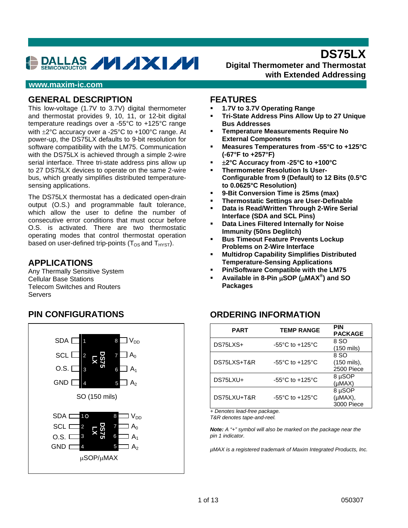# DALLAS **// /XI//**

**Digital Thermometer and Thermostat with Extended Addressing**

**DS75LX** 

#### **www.maxim-ic.com**

#### **GENERAL DESCRIPTION**

This low-voltage (1.7V to 3.7V) digital thermometer and thermostat provides 9, 10, 11, or 12-bit digital temperature readings over a -55°C to +125°C range with ±2°C accuracy over a -25°C to +100°C range. At power-up, the DS75LX defaults to 9-bit resolution for software compatibility with the LM75. Communication with the DS75LX is achieved through a simple 2-wire serial interface. Three tri-state address pins allow up to 27 DS75LX devices to operate on the same 2-wire bus, which greatly simplifies distributed temperaturesensing applications.

The DS75LX thermostat has a dedicated open-drain output (O.S.) and programmable fault tolerance, which allow the user to define the number of consecutive error conditions that must occur before O.S. is activated. There are two thermostatic operating modes that control thermostat operation based on user-defined trip-points ( $T_{OS}$  and  $T_{H\text{YST}}$ ).

#### **APPLICATIONS**

Any Thermally Sensitive System Cellular Base Stations Telecom Switches and Routers Servers

#### **FEATURES**

- **1.7V to 3.7V Operating Range**
- **Tri-State Address Pins Allow Up to 27 Unique Bus Addresses**
- **Temperature Measurements Require No External Components**
- **Measures Temperatures from -55°C to +125°C (-67°F to +257°F)**
- ±**2°C Accuracy from -25°C to +100°C**
- **Thermometer Resolution Is User-Configurable from 9 (Default) to 12 Bits (0.5°C to 0.0625°C Resolution)**
- **9-Bit Conversion Time is 25ms (max)**
- **Thermostatic Settings are User-Definable**
- **Data is Read/Written Through 2-Wire Serial Interface (SDA and SCL Pins)**
- **Data Lines Filtered Internally for Noise Immunity (50ns Deglitch)**
- **Bus Timeout Feature Prevents Lockup Problems on 2-Wire Interface**
- **Multidrop Capability Simplifies Distributed Temperature-Sensing Applications**
- **Pin/Software Compatible with the LM75**
- **Available in 8-Pin** μ**SOP (**μ**MAX® ) and SO Packages**

### **ORDERING INFORMATION**

| <b>PART</b> | <b>TEMP RANGE</b>                     | <b>PIN</b><br><b>PACKAGE</b>         |
|-------------|---------------------------------------|--------------------------------------|
| DS75LXS+    | -55 $^{\circ}$ C to +125 $^{\circ}$ C | 8 SO<br>(150 mils)                   |
| DS75LXS+T&R | -55 $^{\circ}$ C to +125 $^{\circ}$ C | 8 SO<br>(150 mils),<br>2500 Piece    |
| DS75LXU+    | -55 $^{\circ}$ C to +125 $^{\circ}$ C | 8 µSOP<br>$(\mu MAX)$                |
| DS75LXU+T&R | $-55^{\circ}$ C to $+125^{\circ}$ C   | 8 µSOP<br>$(\mu MAX),$<br>3000 Piece |

*+ Denotes lead-free package.* 

*T&R denotes tape-and-reel.* 

*Note: A "+" symbol will also be marked on the package near the pin 1 indicator.* 

*µMAX is a registered trademark of Maxim Integrated Products, Inc.* 

### **PIN CONFIGURATIONS**

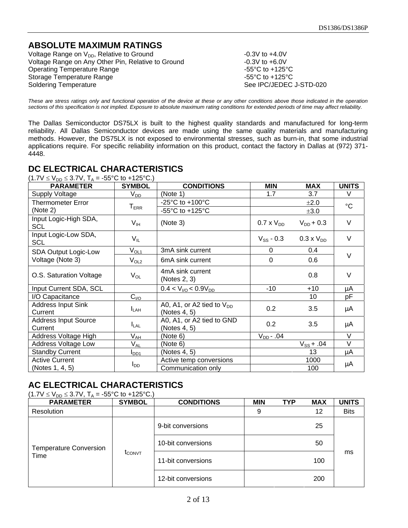# **ABSOLUTE MAXIMUM RATINGS**

Voltage Range on  $V_{DD}$ , Relative to Ground  $V$ oltage Range on Any Other Pin. Relative to Ground  $V$ oltage Range on Any Other Pin. Relative to Ground  $V$  -0.3V to +6.0V Voltage Range on Any Other Pin, Relative to Ground Operating Temperature Range -55°C to +125°C<br>Storage Temperature Range -55°C to +125°C Storage Temperature Range Soldering Temperature See IPC/JEDEC J-STD-020

*These are stress ratings only and functional operation of the device at these or any other conditions above those indicated in the operation sections of this specification is not implied. Exposure to absolute maximum rating conditions for extended periods of time may affect reliability.*

The Dallas Semiconductor DS75LX is built to the highest quality standards and manufactured for long-term reliability. All Dallas Semiconductor devices are made using the same quality materials and manufacturing methods. However, the DS75LX is not exposed to environmental stresses, such as burn-in, that some industrial applications require. For specific reliability information on this product, contact the factory in Dallas at (972) 371- 4448.

**DC ELECTRICAL CHARACTERISTICS** (1.7V <sup>≤</sup> VDD <sup>≤</sup> 3.7V, TA = -55°C to +125°C.) PARAMETER SYMBOL CONDITIONS | MIN MAX UNITS Supply Voltage VDD (Note 1) 1.7 3.7 V Thermometer Error  $T_{\text{ERR}}$   $-25^{\circ}$  C to +100°C  $\qquad \qquad \qquad \qquad \qquad \underline{+2.0}$ Thermometer Error T<sub>ERR</sub>  $\frac{25 \text{ C to +10000}}{-55^{\circ}\text{C to +125}^{\circ}\text{C}}$   $\frac{12.0}{\pm 3.0}$  °C Input Logic-High SDA, SCL SUPPORTED  $V_{\text{H}}$  (Note 3) 0.7 x V<sub>DD</sub> V<sub>DD</sub> + 0.3 V Input Logic-Low SDA,  $N_{\text{B}}$  V<sub>IL</sub> V<sub>IL</sub> V<sub>IL</sub> V<sub>SS</sub> - 0.3 0.3 x V<sub>DD</sub> V SDA Output Logic-Low  $V_{OL1}$  3mA sink current 0 0.4 Voltage (Note 3)  $V_{\text{OL2}}$  6mA sink current 0 0.6 V O.S. Saturation Voltage  $V_{OL}$ 4mA sink current (Notes 2, 3) 0.8 V Input Current SDA, SCL  $\begin{vmatrix} 0.4 < V_{\text{1/0}} < 0.9V_{\text{DD}} < 10 \\ 0.4 < V_{\text{1/0}} < 0.9V_{\text{DD}} < 10 \\ \end{vmatrix}$  +10  $\begin{vmatrix} 1 < 0 < 0 \\ 0 < 0 < 0 \\ 0 < 0 < 0 \end{vmatrix}$  $I/O$  Capacitance  $C_{VO}$  |  $C_{VO}$  | 10 | pF Address Input Sink Current **ILAH** A0, A1, or A2 tied to  $V_{DD}$ A0, A1, 01 A2 iied to  $v_{DD}$  0.2 3.5  $\mu$ A Address Input Source Current **ILAL** A0, A1, or A2 tied to GND  $(40, 41, 01)$  Az tied to GND  $(0.2)$  3.5  $\mu$ A Address Voltage High  $V_{AH}$  (Note 6)  $V_{DD}$ -.04 V Address Voltage Low | V<sub>AL</sub> |(Note 6) V<sub>SS</sub> + .04 | V Standby Current  $I_{DD1}$   $\begin{array}{|l|l|}\n\hline\n\end{array}$  (Notes 4, 5)  $\begin{array}{|l|l|}\n\hline\n\end{array}$  13  $\begin{array}{|l|l|}\n\hline\n\end{array}$  13  $\begin{array}{|l|l|}\n\hline\n\end{array}$  $\frac{1}{2}$  Active temp conversions 1000 (Notes 1, 4, 5) The Communication only 100 µA

# **AC ELECTRICAL CHARACTERISTICS**

| $(1.7 \text{V} \leq V_{\text{DD}} \leq 3.7 \text{V}, T_{\text{A}} = -55^{\circ} \text{C}$ to +125°C.) |                  |                    |            |            |            |              |
|-------------------------------------------------------------------------------------------------------|------------------|--------------------|------------|------------|------------|--------------|
| <b>PARAMETER</b>                                                                                      | <b>SYMBOL</b>    | <b>CONDITIONS</b>  | <b>MIN</b> | <b>TYP</b> | <b>MAX</b> | <b>UNITS</b> |
| Resolution                                                                                            |                  |                    | 9          |            | 12         | <b>Bits</b>  |
| <b>Temperature Conversion</b><br>Time                                                                 | $\rm{t_{CONVT}}$ | 9-bit conversions  |            |            | 25         |              |
|                                                                                                       |                  | 10-bit conversions |            |            | 50         |              |
|                                                                                                       |                  | 11-bit conversions |            |            | 100        | ms           |
|                                                                                                       |                  | 12-bit conversions |            |            | 200        |              |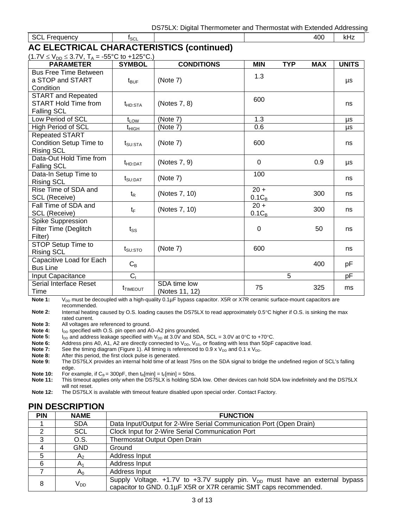| SCL Frequency                             | <b>ISCL</b> | 400 | kHz. |
|-------------------------------------------|-------------|-----|------|
| AC ELECTRICAL CHARACTERISTICS (continued) |             |     |      |

 $(1.7V < V_{\text{DD}} < 3.7V, T_A = -55^{\circ}C \text{ to } +125^{\circ}C.$ 

| $1.7 \text{ v } \geq \text{ v }$ DD $\geq 0.7 \text{ v}$ , $1 \text{ A} = 33 \text{ U} \text{ to } \pm 123 \text{ U}$ ,<br><b>PARAMETER</b> | <b>SYMBOL</b>       | <b>CONDITIONS</b>              | <b>MIN</b>         | <b>TYP</b> | <b>MAX</b> | <b>UNITS</b> |
|---------------------------------------------------------------------------------------------------------------------------------------------|---------------------|--------------------------------|--------------------|------------|------------|--------------|
| <b>Bus Free Time Between</b><br>a STOP and START<br>Condition                                                                               | $t_{\text{BUF}}$    | (Note 7)                       | 1.3                |            |            | μs           |
| <b>START and Repeated</b><br><b>START Hold Time from</b><br><b>Falling SCL</b>                                                              | t <sub>HD:STA</sub> | (Notes 7, 8)                   | 600                |            |            | ns           |
| Low Period of SCL                                                                                                                           | $t_{LOW}$           | (Note 7)                       | 1.3                |            |            | μs           |
| <b>High Period of SCL</b>                                                                                                                   | t <sub>HIGH</sub>   | (Note 7)                       | 0.6                |            |            | μs           |
| <b>Repeated START</b><br>Condition Setup Time to<br><b>Rising SCL</b>                                                                       | t <sub>SU:STA</sub> | (Note 7)                       | 600                |            |            | ns           |
| Data-Out Hold Time from<br><b>Falling SCL</b>                                                                                               | t <sub>HD:DAT</sub> | (Notes 7, 9)                   | $\mathbf 0$        |            | 0.9        | μs           |
| Data-In Setup Time to<br><b>Rising SCL</b>                                                                                                  | $t_{\text{SU:DAT}}$ | (Note 7)                       | 100                |            |            | ns           |
| Rise Time of SDA and<br><b>SCL (Receive)</b>                                                                                                | $t_{\mathsf{R}}$    | (Notes 7, 10)                  | $20 +$<br>$0.1C_B$ |            | 300        | ns           |
| Fall Time of SDA and<br><b>SCL (Receive)</b>                                                                                                | $t_{\text{F}}$      | (Notes 7, 10)                  | $20 +$<br>$0.1C_B$ |            | 300        | ns           |
| Spike Suppression<br>Filter Time (Deglitch<br>Filter)                                                                                       | $t_{SS}$            |                                | $\mathbf 0$        |            | 50         | ns           |
| STOP Setup Time to<br><b>Rising SCL</b>                                                                                                     | $t_{\text{SU:STO}}$ | (Note 7)                       | 600                |            |            | ns           |
| Capacitive Load for Each<br><b>Bus Line</b>                                                                                                 | $C_B$               |                                |                    |            | 400        | pF           |
| Input Capacitance                                                                                                                           | C <sub>1</sub>      |                                |                    | 5          |            | pF           |
| Serial Interface Reset<br>Time                                                                                                              | <b>T</b> TIMEOUT    | SDA time low<br>(Notes 11, 12) | 75                 |            | 325        | ms           |

**Note 1:** V<sub>DD</sub> must be decoupled with a high-quality 0.1µF bypass capacitor. X5R or X7R ceramic surface-mount capacitors are recommended.

**Note 2:** Internal heating caused by O.S. loading causes the DS75LX to read approximately 0.5°C higher if O.S. is sinking the max rated current.

**Note 3:** All voltages are referenced to ground.

**Note 4:** I<sub>DD</sub> specified with O.S. pin open and A0–A2 pins grounded.<br>**Note 5:** I<sub>DD</sub> and address leakage specified with V<sub>DD</sub> at 3.0V and SD.

**Note 5:**  $I_{\text{DD}}$  and address leakage specified with V<sub>DD</sub> at 3.0V and SDA, SCL = 3.0V at 0°C to +70°C.<br>**Note 6:** Address pins A0, A1, A2 are directly connected to V<sub>DD</sub>, V<sub>SS</sub>, or floating with less than 50pF

Note 6: Address pins A0, A1, A2 are directly connected to V<sub>DD</sub>, V<sub>SS</sub>, or floating with less than 50pF capacitive load.

**Note 7:** See the timing diagram (Figure 1). All timing is referenced to 0.9 x  $V_{DD}$  and 0.1 x  $V_{DD}$ .

**Note 8:** After this period, the first clock pulse is generated.

**Note 9:** The DS75LX provides an internal hold time of at least 75ns on the SDA signal to bridge the undefined region of SCL's falling edge.

**Note 10:** For example, if  $C_B = 300pF$ , then  $t_R$ [min] =  $t_F$ [min] = 50ns.<br>**Note 11:** This timeout applies only when the DS75LX is holding SD

**Note 11:** This timeout applies only when the DS75LX is holding SDA low. Other devices can hold SDA low indefinitely and the DS75LX will not reset.

**Note 12:** The DS75LX is available with timeout feature disabled upon special order. Contact Factory.

### **PIN DESCRIPTION**

| <b>PIN</b> | <b>NAME</b> | <b>FUNCTION</b>                                                                                                                                          |
|------------|-------------|----------------------------------------------------------------------------------------------------------------------------------------------------------|
|            | <b>SDA</b>  | Data Input/Output for 2-Wire Serial Communication Port (Open Drain)                                                                                      |
| ⌒          | <b>SCL</b>  | Clock Input for 2-Wire Serial Communication Port                                                                                                         |
| ົ          | O.S.        | <b>Thermostat Output Open Drain</b>                                                                                                                      |
|            | <b>GND</b>  | Ground                                                                                                                                                   |
| 5          | A۵          | Address Input                                                                                                                                            |
| 6          |             | Address Input                                                                                                                                            |
|            | $A_0$       | Address Input                                                                                                                                            |
| 8          | $V_{DD}$    | Supply Voltage. $+1.7V$ to $+3.7V$ supply pin. $V_{DD}$ must have an external bypass<br>capacitor to GND. 0.1µF X5R or X7R ceramic SMT caps recommended. |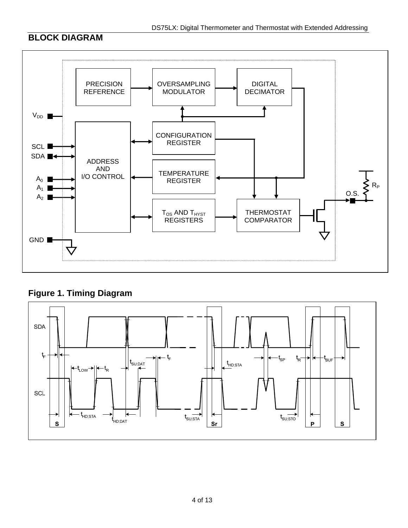# **BLOCK DIAGRAM**





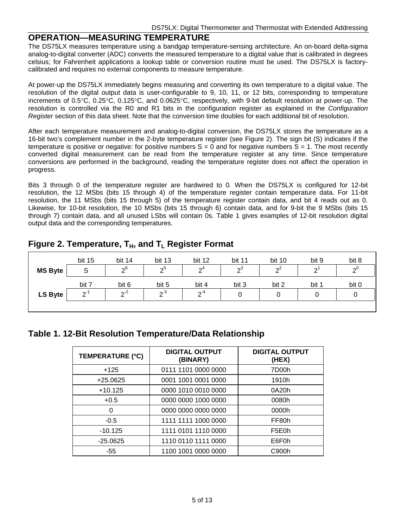#### **OPERATION—MEASURING TEMPERATURE**

The DS75LX measures temperature using a bandgap temperature-sensing architecture. An on-board delta-sigma analog-to-digital converter (ADC) converts the measured temperature to a digital value that is calibrated in degrees celsius; for Fahrenheit applications a lookup table or conversion routine must be used. The DS75LX is factorycalibrated and requires no external components to measure temperature.

At power-up the DS75LX immediately begins measuring and converting its own temperature to a digital value. The resolution of the digital output data is user-configurable to 9, 10, 11, or 12 bits, corresponding to temperature increments of 0.5°C, 0.25°C, 0.125°C, and 0.0625°C, respectively, with 9-bit default resolution at power-up. The resolution is controlled via the R0 and R1 bits in the configuration register as explained in the *Configuration Register* section of this data sheet. Note that the conversion time doubles for each additional bit of resolution.

After each temperature measurement and analog-to-digital conversion, the DS75LX stores the temperature as a 16-bit two's complement number in the 2-byte temperature register (see Figure 2). The sign bit (S) indicates if the temperature is positive or negative: for positive numbers  $S = 0$  and for negative numbers  $\overline{S} = 1$ . The most recently converted digital measurement can be read from the temperature register at any time. Since temperature conversions are performed in the background, reading the temperature register does not affect the operation in progress.

Bits 3 through 0 of the temperature register are hardwired to 0. When the DS75LX is configured for 12-bit resolution, the 12 MSbs (bits 15 through 4) of the temperature register contain temperature data. For 11-bit resolution, the 11 MSbs (bits 15 through 5) of the temperature register contain data, and bit 4 reads out as 0. Likewise, for 10-bit resolution, the 10 MSbs (bits 15 through 6) contain data, and for 9-bit the 9 MSbs (bits 15 through 7) contain data, and all unused LSbs will contain 0s. Table 1 gives examples of 12-bit resolution digital output data and the corresponding temperatures.

|  | Figure 2. Temperature, $T_H$ , and $T_L$ Register Format |  |  |  |
|--|----------------------------------------------------------|--|--|--|
|--|----------------------------------------------------------|--|--|--|

|                | bit 15 | bit 14         | bit 13 | bit 12 | bit 11 | bit 10         | bit 9  | bit 8 |
|----------------|--------|----------------|--------|--------|--------|----------------|--------|-------|
| <b>MS Byte</b> | S      | 2 <sup>6</sup> | റാ     | $2^4$  | $2^3$  | $\mathsf{P}^2$ | $\sim$ | $2^0$ |
|                | bit 7  | bit 6          | bit 5  | bit 4  | bit 3  | bit 2          | bit 1  | bit 0 |
| <b>LS Byte</b> | ົາ⊺    | $2-2$          | ი-ა    | ົດ"    |        |                |        | U     |
|                |        |                |        |        |        |                |        |       |

#### **Table 1. 12-Bit Resolution Temperature/Data Relationship**

| TEMPERATURE (°C) | <b>DIGITAL OUTPUT</b><br>(BINARY) | <b>DIGITAL OUTPUT</b><br>(HEX) |
|------------------|-----------------------------------|--------------------------------|
| $+125$           | 0111 1101 0000 0000               | 7D00h                          |
| $+25.0625$       | 0001 1001 0001 0000               | 1910h                          |
| $+10.125$        | 0000 1010 0010 0000               | 0A20h                          |
| $+0.5$           | 0000 0000 1000 0000               | 0080h                          |
| 0                | 0000 0000 0000 0000               | 0000h                          |
| $-0.5$           | 1111 1111 1000 0000               | FF80h                          |
| $-10.125$        | 1111 0101 1110 0000               | F5E0h                          |
| $-25.0625$       | 1110 0110 1111 0000               | E6F0h                          |
| -55              | 1100 1001 0000 0000               | C900h                          |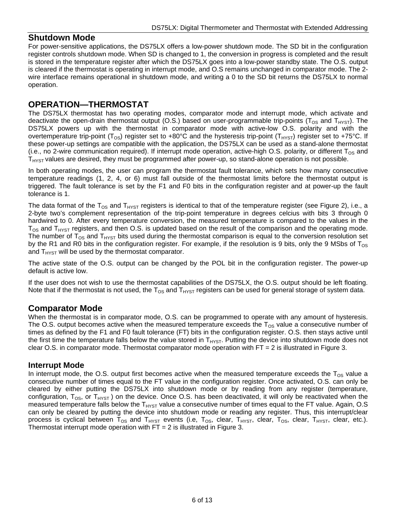#### **Shutdown Mode**

For power-sensitive applications, the DS75LX offers a low-power shutdown mode. The SD bit in the configuration register controls shutdown mode. When SD is changed to 1, the conversion in progress is completed and the result is stored in the temperature register after which the DS75LX goes into a low-power standby state. The O.S. output is cleared if the thermostat is operating in interrupt mode, and O.S remains unchanged in comparator mode. The 2 wire interface remains operational in shutdown mode, and writing a 0 to the SD bit returns the DS75LX to normal operation.

#### **OPERATION—THERMOSTAT**

The DS75LX thermostat has two operating modes, comparator mode and interrupt mode, which activate and deactivate the open-drain thermostat output (O.S.) based on user-programmable trip-points ( $T_{OS}$  and  $T_{HYST}$ ). The DS75LX powers up with the thermostat in comparator mode with active-low O.S. polarity and with the overtemperature trip-point ( $T_{OS}$ ) register set to +80°C and the hysteresis trip-point ( $T_{HYST}$ ) register set to +75°C. If these power-up settings are compatible with the application, the DS75LX can be used as a stand-alone thermostat (i.e., no 2-wire communication required). If interrupt mode operation, active-high O.S. polarity, or different  $T_{OS}$  and  $T<sub>HYST</sub>$  values are desired, they must be programmed after power-up, so stand-alone operation is not possible.

In both operating modes, the user can program the thermostat fault tolerance, which sets how many consecutive temperature readings (1, 2, 4, or 6) must fall outside of the thermostat limits before the thermostat output is triggered. The fault tolerance is set by the F1 and F0 bits in the configuration register and at power-up the fault tolerance is 1.

The data format of the  $T_{OS}$  and  $T_{HYST}$  registers is identical to that of the temperature register (see Figure 2), i.e., a 2-byte two's complement representation of the trip-point temperature in degrees celcius with bits 3 through 0 hardwired to 0. After every temperature conversion, the measured temperature is compared to the values in the  $T_{OS}$  and  $T_{HYST}$  registers, and then O.S. is updated based on the result of the comparison and the operating mode. The number of  $T_{OS}$  and  $T_{HYST}$  bits used during the thermostat comparison is equal to the conversion resolution set by the R1 and R0 bits in the configuration register. For example, if the resolution is 9 bits, only the 9 MSbs of T<sub>OS</sub> and  $T_{H<sub>YST</sub>}$  will be used by the thermostat comparator.

The active state of the O.S. output can be changed by the POL bit in the configuration register. The power-up default is active low.

If the user does not wish to use the thermostat capabilities of the DS75LX, the O.S. output should be left floating. Note that if the thermostat is not used, the  $T_{OS}$  and  $T_{HYST}$  registers can be used for general storage of system data.

#### **Comparator Mode**

When the thermostat is in comparator mode, O.S. can be programmed to operate with any amount of hysteresis. The O.S. output becomes active when the measured temperature exceeds the  $T_{OS}$  value a consecutive number of times as defined by the F1 and F0 fault tolerance (FT) bits in the configuration register. O.S. then stays active until the first time the temperature falls below the value stored in  $T_{HYST}$ . Putting the device into shutdown mode does not clear O.S. in comparator mode. Thermostat comparator mode operation with  $FT = 2$  is illustrated in Figure 3.

#### **Interrupt Mode**

In interrupt mode, the O.S. output first becomes active when the measured temperature exceeds the  $T_{OS}$  value a consecutive number of times equal to the FT value in the configuration register. Once activated, O.S. can only be cleared by either putting the DS75LX into shutdown mode or by reading from any register (temperature, configuration,  $T_{OS}$ , or  $T_{HYST}$ ) on the device. Once O.S. has been deactivated, it will only be reactivated when the measured temperature falls below the  $T_{HYST}$  value a consecutive number of times equal to the FT value. Again, O.S can only be cleared by putting the device into shutdown mode or reading any register. Thus, this interrupt/clear process is cyclical between  $T_{OS}$  and  $T_{HYST}$  events (i.e,  $T_{OS}$ , clear,  $T_{HYST}$ , clear,  $T_{HYST}$ , clear, etc.). Thermostat interrupt mode operation with  $FT = 2$  is illustrated in Figure 3.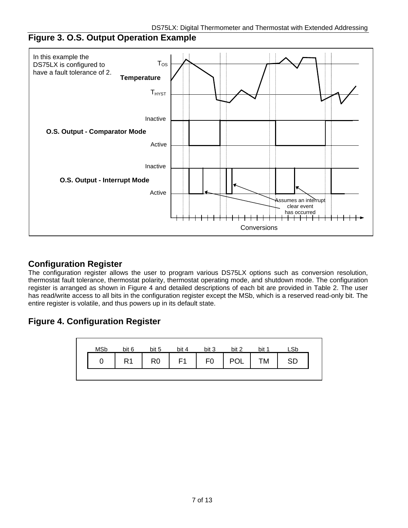# **Figure 3. O.S. Output Operation Example**



#### **Configuration Register**

The configuration register allows the user to program various DS75LX options such as conversion resolution, thermostat fault tolerance, thermostat polarity, thermostat operating mode, and shutdown mode. The configuration register is arranged as shown in Figure 4 and detailed descriptions of each bit are provided in Table 2. The user has read/write access to all bits in the configuration register except the MSb, which is a reserved read-only bit. The entire register is volatile, and thus powers up in its default state.

# **Figure 4. Configuration Register**

![](_page_6_Figure_6.jpeg)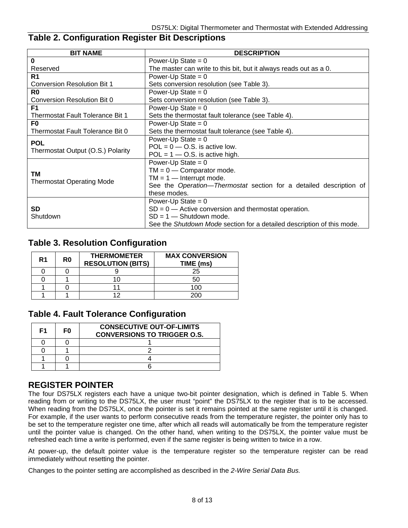# **Table 2. Configuration Register Bit Descriptions**

| <b>BIT NAME</b>                    | <b>DESCRIPTION</b>                                                     |  |  |  |
|------------------------------------|------------------------------------------------------------------------|--|--|--|
| $\bf{0}$                           | Power-Up State = $0$                                                   |  |  |  |
| Reserved                           | The master can write to this bit, but it always reads out as a 0.      |  |  |  |
| R <sub>1</sub>                     | Power-Up State = $0$                                                   |  |  |  |
| <b>Conversion Resolution Bit 1</b> | Sets conversion resolution (see Table 3).                              |  |  |  |
| R0                                 | Power-Up State = $0$                                                   |  |  |  |
| Conversion Resolution Bit 0        | Sets conversion resolution (see Table 3).                              |  |  |  |
| F <sub>1</sub>                     | Power-Up State = $0$                                                   |  |  |  |
| Thermostat Fault Tolerance Bit 1   | Sets the thermostat fault tolerance (see Table 4).                     |  |  |  |
| F0                                 | Power-Up State = $0$                                                   |  |  |  |
| Thermostat Fault Tolerance Bit 0   | Sets the thermostat fault tolerance (see Table 4).                     |  |  |  |
| <b>POL</b>                         | Power-Up State = $0$                                                   |  |  |  |
| Thermostat Output (O.S.) Polarity  | $POL = 0$ – O.S. is active low.                                        |  |  |  |
|                                    | $POL = 1 - O.S.$ is active high.                                       |  |  |  |
|                                    | Power-Up State = $0$                                                   |  |  |  |
| ТM                                 | $TM = 0$ - Comparator mode.                                            |  |  |  |
| <b>Thermostat Operating Mode</b>   | $TM = 1$ - Interrupt mode.                                             |  |  |  |
|                                    | See the Operation-Thermostat section for a detailed description of     |  |  |  |
|                                    | these modes.                                                           |  |  |  |
|                                    | Power-Up State = $0$                                                   |  |  |  |
| <b>SD</b>                          | $SD = 0$ - Active conversion and thermostat operation.                 |  |  |  |
| Shutdown                           | $SD = 1 - Shutdown mode$ .                                             |  |  |  |
|                                    | See the Shutdown Mode section for a detailed description of this mode. |  |  |  |

# **Table 3. Resolution Configuration**

| R <sub>1</sub> | R0 | <b>THERMOMETER</b><br><b>RESOLUTION (BITS)</b> | <b>MAX CONVERSION</b><br>TIME (ms) |
|----------------|----|------------------------------------------------|------------------------------------|
|                |    |                                                | 25                                 |
|                |    |                                                |                                    |
|                |    |                                                | 100                                |
|                |    |                                                |                                    |

# **Table 4. Fault Tolerance Configuration**

| F <sub>1</sub> | F0 | <b>CONSECUTIVE OUT-OF-LIMITS</b><br><b>CONVERSIONS TO TRIGGER O.S.</b> |
|----------------|----|------------------------------------------------------------------------|
|                |    |                                                                        |
|                |    |                                                                        |
|                |    |                                                                        |
|                |    |                                                                        |

### **REGISTER POINTER**

The four DS75LX registers each have a unique two-bit pointer designation, which is defined in Table 5. When reading from or writing to the DS75LX, the user must "point" the DS75LX to the register that is to be accessed. When reading from the DS75LX, once the pointer is set it remains pointed at the same register until it is changed. For example, if the user wants to perform consecutive reads from the temperature register, the pointer only has to be set to the temperature register one time, after which all reads will automatically be from the temperature register until the pointer value is changed. On the other hand, when writing to the DS75LX, the pointer value must be refreshed each time a write is performed, even if the same register is being written to twice in a row.

At power-up, the default pointer value is the temperature register so the temperature register can be read immediately without resetting the pointer.

Changes to the pointer setting are accomplished as described in the *2-Wire Serial Data Bus.*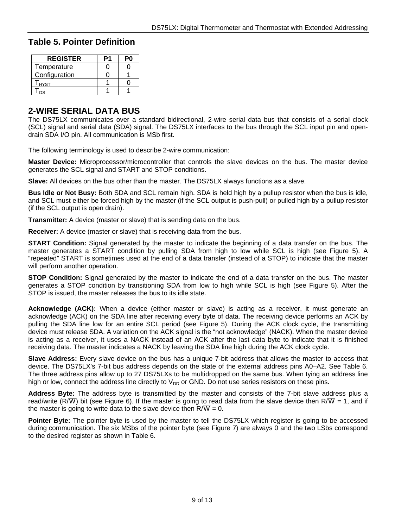#### **Table 5. Pointer Definition**

| <b>REGISTER</b> | P٥ |
|-----------------|----|
| Temperature     |    |
| Configuration   |    |
| I HYST          |    |
|                 |    |

### **2-WIRE SERIAL DATA BUS**

The DS75LX communicates over a standard bidirectional, 2-wire serial data bus that consists of a serial clock (SCL) signal and serial data (SDA) signal. The DS75LX interfaces to the bus through the SCL input pin and opendrain SDA I/O pin. All communication is MSb first.

The following terminology is used to describe 2-wire communication:

**Master Device:** Microprocessor/microcontroller that controls the slave devices on the bus. The master device generates the SCL signal and START and STOP conditions.

**Slave:** All devices on the bus other than the master. The DS75LX always functions as a slave.

**Bus Idle or Not Busy:** Both SDA and SCL remain high. SDA is held high by a pullup resistor when the bus is idle, and SCL must either be forced high by the master (if the SCL output is push-pull) or pulled high by a pullup resistor (if the SCL output is open drain).

**Transmitter:** A device (master or slave) that is sending data on the bus.

**Receiver:** A device (master or slave) that is receiving data from the bus.

**START Condition:** Signal generated by the master to indicate the beginning of a data transfer on the bus. The master generates a START condition by pulling SDA from high to low while SCL is high (see Figure 5). A "repeated" START is sometimes used at the end of a data transfer (instead of a STOP) to indicate that the master will perform another operation.

**STOP Condition:** Signal generated by the master to indicate the end of a data transfer on the bus. The master generates a STOP condition by transitioning SDA from low to high while SCL is high (see Figure 5). After the STOP is issued, the master releases the bus to its idle state.

**Acknowledge (ACK):** When a device (either master or slave) is acting as a receiver, it must generate an acknowledge (ACK) on the SDA line after receiving every byte of data. The receiving device performs an ACK by pulling the SDA line low for an entire SCL period (see Figure 5). During the ACK clock cycle, the transmitting device must release SDA. A variation on the ACK signal is the "not acknowledge" (NACK). When the master device is acting as a receiver, it uses a NACK instead of an ACK after the last data byte to indicate that it is finished receiving data. The master indicates a NACK by leaving the SDA line high during the ACK clock cycle.

**Slave Address:** Every slave device on the bus has a unique 7-bit address that allows the master to access that device. The DS75LX's 7-bit bus address depends on the state of the external address pins A0–A2. See Table 6. The three address pins allow up to 27 DS75LXs to be multidropped on the same bus. When tying an address line high or low, connect the address line directly to  $V_{DD}$  or GND. Do not use series resistors on these pins.

**Address Byte:** The address byte is transmitted by the master and consists of the 7-bit slave address plus a read/write (R/W) bit (see Figure 6). If the master is going to read data from the slave device then R/W = 1, and if the master is going to write data to the slave device then  $R/W = 0$ .

**Pointer Byte:** The pointer byte is used by the master to tell the DS75LX which register is going to be accessed during communication. The six MSbs of the pointer byte (see Figure 7) are always 0 and the two LSbs correspond to the desired register as shown in Table 6.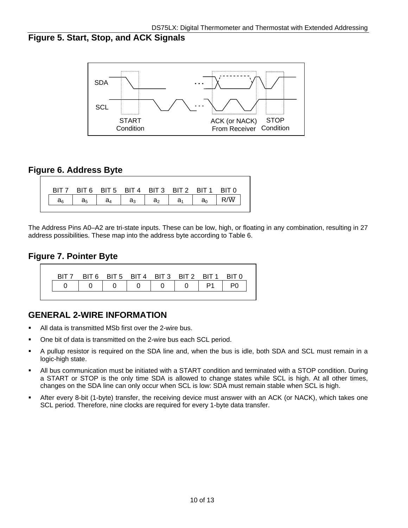# **Figure 5. Start, Stop, and ACK Signals**

![](_page_9_Figure_2.jpeg)

# **Figure 6. Address Byte**

|       | BIT7 BIT6 BIT5 BIT4 BIT3 BIT2 BIT1 BIT0 |       |       |                |                  |       |  |
|-------|-----------------------------------------|-------|-------|----------------|------------------|-------|--|
| $a_6$ | $a_5$                                   | $a_4$ | $a_3$ | a <sub>2</sub> | a <sub>1</sub> I | $a_0$ |  |

The Address Pins A0–A2 are tri-state inputs. These can be low, high, or floating in any combination, resulting in 27 address possibilities. These map into the address byte according to Table 6.

# **Figure 7. Pointer Byte**

![](_page_9_Figure_7.jpeg)

### **GENERAL 2-WIRE INFORMATION**

- All data is transmitted MSb first over the 2-wire bus.
- One bit of data is transmitted on the 2-wire bus each SCL period.
- A pullup resistor is required on the SDA line and, when the bus is idle, both SDA and SCL must remain in a logic-high state.
- All bus communication must be initiated with a START condition and terminated with a STOP condition. During a START or STOP is the only time SDA is allowed to change states while SCL is high. At all other times, changes on the SDA line can only occur when SCL is low: SDA must remain stable when SCL is high.
- After every 8-bit (1-byte) transfer, the receiving device must answer with an ACK (or NACK), which takes one SCL period. Therefore, nine clocks are required for every 1-byte data transfer.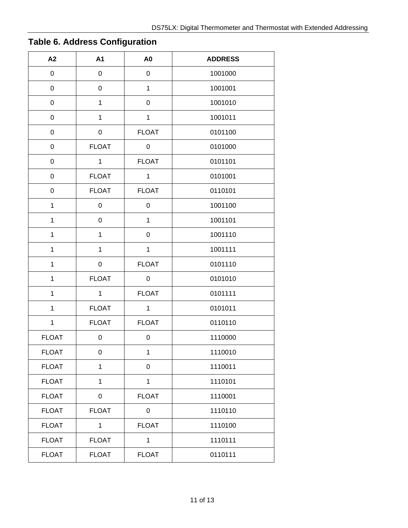| A2               | A1           | A <sub>0</sub> | <b>ADDRESS</b> |
|------------------|--------------|----------------|----------------|
| $\mathsf 0$      | $\,0\,$      | 0              | 1001000        |
| $\mathsf 0$      | 0            | $\mathbf{1}$   | 1001001        |
| 0                | $\mathbf{1}$ | 0              | 1001010        |
| 0                | 1            | $\mathbf 1$    | 1001011        |
| $\mathsf 0$      | 0            | <b>FLOAT</b>   | 0101100        |
| $\boldsymbol{0}$ | <b>FLOAT</b> | 0              | 0101000        |
| 0                | $\mathbf{1}$ | <b>FLOAT</b>   | 0101101        |
| 0                | <b>FLOAT</b> | $\mathbf 1$    | 0101001        |
| 0                | <b>FLOAT</b> | <b>FLOAT</b>   | 0110101        |
| $\mathbf{1}$     | 0            | 0              | 1001100        |
| $\mathbf{1}$     | $\mathsf 0$  | $\mathbf{1}$   | 1001101        |
| $\mathbf{1}$     | $\mathbf{1}$ | $\mathsf 0$    | 1001110        |
| $\mathbf{1}$     | $\mathbf 1$  | $\mathbf{1}$   | 1001111        |
| $\mathbf 1$      | 0            | <b>FLOAT</b>   | 0101110        |
| $\mathbf 1$      | <b>FLOAT</b> | 0              | 0101010        |
| $\mathbf{1}$     | $\mathbf{1}$ | <b>FLOAT</b>   | 0101111        |
| $\mathbf{1}$     | <b>FLOAT</b> | $\mathbf{1}$   | 0101011        |
| $\mathbf{1}$     | <b>FLOAT</b> | <b>FLOAT</b>   | 0110110        |
| <b>FLOAT</b>     | 0            | 0              | 1110000        |
| <b>FLOAT</b>     | 0            | 1              | 1110010        |
| <b>FLOAT</b>     | $\mathbf{1}$ | $\mathsf 0$    | 1110011        |
| <b>FLOAT</b>     | $\mathbf 1$  | $\mathbf{1}$   | 1110101        |
| <b>FLOAT</b>     | 0            | <b>FLOAT</b>   | 1110001        |
| <b>FLOAT</b>     | <b>FLOAT</b> | 0              | 1110110        |
| <b>FLOAT</b>     | $\mathbf{1}$ | <b>FLOAT</b>   | 1110100        |
| <b>FLOAT</b>     | <b>FLOAT</b> | $\mathbf{1}$   | 1110111        |
| <b>FLOAT</b>     | <b>FLOAT</b> | <b>FLOAT</b>   | 0110111        |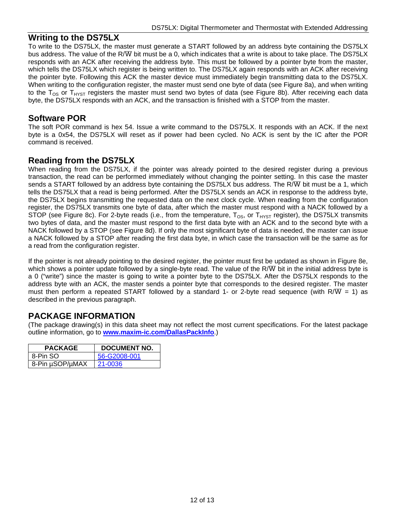#### **Writing to the DS75LX**

To write to the DS75LX, the master must generate a START followed by an address byte containing the DS75LX bus address. The value of the R/W bit must be a 0, which indicates that a write is about to take place. The DS75LX responds with an ACK after receiving the address byte. This must be followed by a pointer byte from the master, which tells the DS75LX which register is being written to. The DS75LX again responds with an ACK after receiving the pointer byte. Following this ACK the master device must immediately begin transmitting data to the DS75LX. When writing to the configuration register, the master must send one byte of data (see Figure 8a), and when writing to the  $T_{OS}$  or  $T_{HYST}$  registers the master must send two bytes of data (see Figure 8b). After receiving each data byte, the DS75LX responds with an ACK, and the transaction is finished with a STOP from the master.

#### **Software POR**

The soft POR command is hex 54. Issue a write command to the DS75LX. It responds with an ACK. If the next byte is a 0x54, the DS75LX will reset as if power had been cycled. No ACK is sent by the IC after the POR command is received.

#### **Reading from the DS75LX**

When reading from the DS75LX, if the pointer was already pointed to the desired register during a previous transaction, the read can be performed immediately without changing the pointer setting. In this case the master sends a START followed by an address byte containing the DS75LX bus address. The R/W bit must be a 1, which tells the DS75LX that a read is being performed. After the DS75LX sends an ACK in response to the address byte, the DS75LX begins transmitting the requested data on the next clock cycle. When reading from the configuration register, the DS75LX transmits one byte of data, after which the master must respond with a NACK followed by a STOP (see Figure 8c). For 2-byte reads (i.e., from the temperature,  $T_{OS}$ , or  $T_{H YST}$  register), the DS75LX transmits two bytes of data, and the master must respond to the first data byte with an ACK and to the second byte with a NACK followed by a STOP (see Figure 8d). If only the most significant byte of data is needed, the master can issue a NACK followed by a STOP after reading the first data byte, in which case the transaction will be the same as for a read from the configuration register.

If the pointer is not already pointing to the desired register, the pointer must first be updated as shown in Figure 8e, which shows a pointer update followed by a single-byte read. The value of the R/W bit in the initial address byte is a 0 ("write") since the master is going to write a pointer byte to the DS75LX. After the DS75LX responds to the address byte with an ACK, the master sends a pointer byte that corresponds to the desired register. The master must then perform a repeated START followed by a standard 1- or 2-byte read sequence (with R/W = 1) as described in the previous paragraph.

# **PACKAGE INFORMATION**

(The package drawing(s) in this data sheet may not reflect the most current specifications. For the latest package outline information, go to **[www.maxim-ic.com/DallasPackInfo](http://www.maxim-ic.com/DallasPackInfo)**.)

| <b>PACKAGE</b>  | <b>DOCUMENT NO.</b> |
|-----------------|---------------------|
| 8-Pin SO        | 56-G2008-001        |
| 8-Pin µSOP/µMAX | 21-0036             |